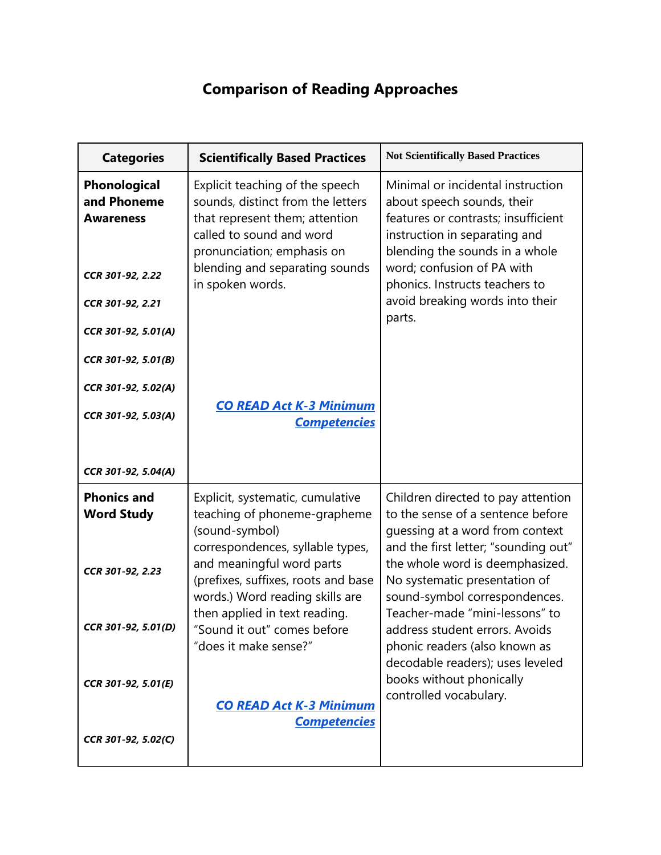## **Comparison of Reading Approaches**

| <b>Categories</b>                                                                                              | <b>Scientifically Based Practices</b>                                                                                                                                                                                  | <b>Not Scientifically Based Practices</b>                                                                                                                                                                                                                                              |
|----------------------------------------------------------------------------------------------------------------|------------------------------------------------------------------------------------------------------------------------------------------------------------------------------------------------------------------------|----------------------------------------------------------------------------------------------------------------------------------------------------------------------------------------------------------------------------------------------------------------------------------------|
| Phonological<br>and Phoneme<br><b>Awareness</b><br>CCR 301-92, 2.22<br>CCR 301-92, 2.21<br>CCR 301-92, 5.01(A) | Explicit teaching of the speech<br>sounds, distinct from the letters<br>that represent them; attention<br>called to sound and word<br>pronunciation; emphasis on<br>blending and separating sounds<br>in spoken words. | Minimal or incidental instruction<br>about speech sounds, their<br>features or contrasts; insufficient<br>instruction in separating and<br>blending the sounds in a whole<br>word; confusion of PA with<br>phonics. Instructs teachers to<br>avoid breaking words into their<br>parts. |
| CCR 301-92, 5.01(B)<br>CCR 301-92, 5.02(A)<br>CCR 301-92, 5.03(A)                                              | <b>CO READ Act K-3 Minimum</b><br><b>Competencies</b>                                                                                                                                                                  |                                                                                                                                                                                                                                                                                        |
| CCR 301-92, 5.04(A)                                                                                            |                                                                                                                                                                                                                        |                                                                                                                                                                                                                                                                                        |
| <b>Phonics and</b><br><b>Word Study</b>                                                                        | Explicit, systematic, cumulative<br>teaching of phoneme-grapheme<br>(sound-symbol)                                                                                                                                     | Children directed to pay attention<br>to the sense of a sentence before<br>guessing at a word from context                                                                                                                                                                             |
| CCR 301-92, 2.23                                                                                               | correspondences, syllable types,<br>and meaningful word parts<br>(prefixes, suffixes, roots and base<br>words.) Word reading skills are<br>then applied in text reading.                                               | and the first letter; "sounding out"<br>the whole word is deemphasized.<br>No systematic presentation of<br>sound-symbol correspondences.<br>Teacher-made "mini-lessons" to                                                                                                            |
| CCR 301-92, 5.01(D)<br>CCR 301-92, 5.01(E)                                                                     | "Sound it out" comes before<br>"does it make sense?"                                                                                                                                                                   | address student errors. Avoids<br>phonic readers (also known as<br>decodable readers); uses leveled<br>books without phonically                                                                                                                                                        |
| CCR 301-92, 5.02(C)                                                                                            | <b>CO READ Act K-3 Minimum</b><br><b>Competencies</b>                                                                                                                                                                  | controlled vocabulary.                                                                                                                                                                                                                                                                 |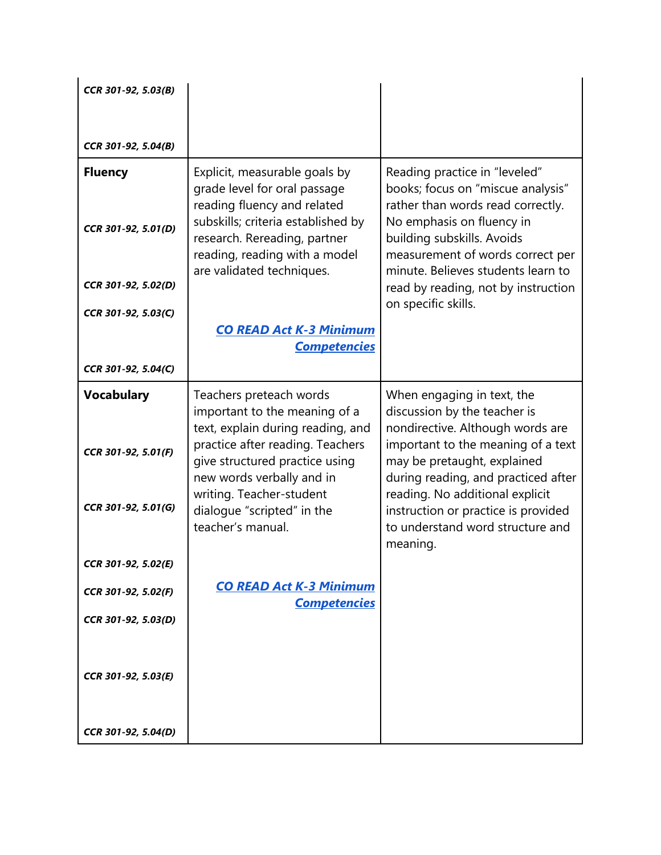| CCR 301-92, 5.03(B) |                                                                                                                                  |                                                                                                                                   |
|---------------------|----------------------------------------------------------------------------------------------------------------------------------|-----------------------------------------------------------------------------------------------------------------------------------|
|                     |                                                                                                                                  |                                                                                                                                   |
| CCR 301-92, 5.04(B) |                                                                                                                                  |                                                                                                                                   |
| <b>Fluency</b>      | Explicit, measurable goals by<br>grade level for oral passage<br>reading fluency and related                                     | Reading practice in "leveled"<br>books; focus on "miscue analysis"<br>rather than words read correctly.                           |
| CCR 301-92, 5.01(D) | subskills; criteria established by<br>research. Rereading, partner<br>reading, reading with a model<br>are validated techniques. | No emphasis on fluency in<br>building subskills. Avoids<br>measurement of words correct per<br>minute. Believes students learn to |
| CCR 301-92, 5.02(D) |                                                                                                                                  | read by reading, not by instruction<br>on specific skills.                                                                        |
| CCR 301-92, 5.03(C) | <b>CO READ Act K-3 Minimum</b>                                                                                                   |                                                                                                                                   |
|                     | <b>Competencies</b>                                                                                                              |                                                                                                                                   |
| CCR 301-92, 5.04(C) |                                                                                                                                  |                                                                                                                                   |
| <b>Vocabulary</b>   | Teachers preteach words<br>important to the meaning of a<br>text, explain during reading, and                                    | When engaging in text, the<br>discussion by the teacher is<br>nondirective. Although words are                                    |
| CCR 301-92, 5.01(F) | practice after reading. Teachers<br>give structured practice using<br>new words verbally and in                                  | important to the meaning of a text<br>may be pretaught, explained<br>during reading, and practiced after                          |
| CCR 301-92, 5.01(G) | writing. Teacher-student<br>dialogue "scripted" in the<br>teacher's manual.                                                      | reading. No additional explicit<br>instruction or practice is provided<br>to understand word structure and<br>meaning.            |
| CCR 301-92, 5.02(E) |                                                                                                                                  |                                                                                                                                   |
| CCR 301-92, 5.02(F) | <b>CO READ Act K-3 Minimum</b><br><b>Competencies</b>                                                                            |                                                                                                                                   |
| CCR 301-92, 5.03(D) |                                                                                                                                  |                                                                                                                                   |
| CCR 301-92, 5.03(E) |                                                                                                                                  |                                                                                                                                   |
| CCR 301-92, 5.04(D) |                                                                                                                                  |                                                                                                                                   |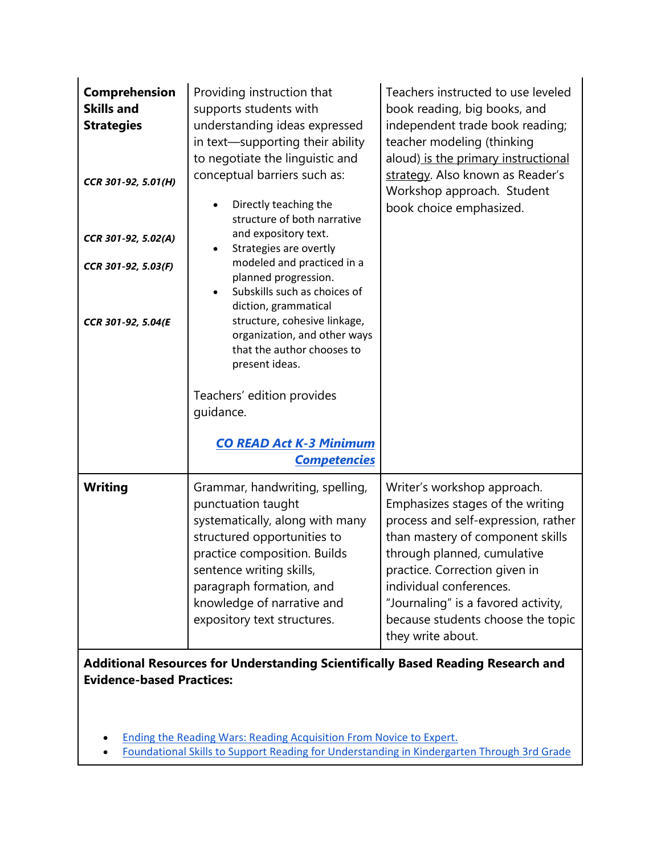| Comprehension<br><b>Skills and</b><br><b>Strategies</b><br>CCR 301-92, 5.01(H)<br>CCR 301-92, 5.02(A)<br>CCR 301-92, 5.03(F)<br>CCR 301-92, 5.04(E | Providing instruction that<br>supports students with<br>understanding ideas expressed<br>in text-supporting their ability<br>to negotiate the linguistic and<br>conceptual barriers such as:<br>Directly teaching the<br>$\bullet$<br>structure of both narrative<br>and expository text.<br>Strategies are overtly<br>$\bullet$<br>modeled and practiced in a<br>planned progression.<br>Subskills such as choices of<br>diction, grammatical<br>structure, cohesive linkage,<br>organization, and other ways<br>that the author chooses to<br>present ideas.<br>Teachers' edition provides<br>quidance.<br><b>CO READ Act K-3 Minimum</b><br><b>Competencies</b> | Teachers instructed to use leveled<br>book reading, big books, and<br>independent trade book reading;<br>teacher modeling (thinking<br>aloud) is the primary instructional<br>strategy. Also known as Reader's<br>Workshop approach. Student<br>book choice emphasized.                                                                |  |
|----------------------------------------------------------------------------------------------------------------------------------------------------|--------------------------------------------------------------------------------------------------------------------------------------------------------------------------------------------------------------------------------------------------------------------------------------------------------------------------------------------------------------------------------------------------------------------------------------------------------------------------------------------------------------------------------------------------------------------------------------------------------------------------------------------------------------------|----------------------------------------------------------------------------------------------------------------------------------------------------------------------------------------------------------------------------------------------------------------------------------------------------------------------------------------|--|
| <b>Writing</b>                                                                                                                                     | Grammar, handwriting, spelling,<br>punctuation taught<br>systematically, along with many<br>structured opportunities to<br>practice composition. Builds<br>sentence writing skills,<br>paragraph formation, and<br>knowledge of narrative and<br>expository text structures.                                                                                                                                                                                                                                                                                                                                                                                       | Writer's workshop approach.<br>Emphasizes stages of the writing<br>process and self-expression, rather<br>than mastery of component skills<br>through planned, cumulative<br>practice. Correction given in<br>individual conferences.<br>"Journaling" is a favored activity,<br>because students choose the topic<br>they write about. |  |
| Additional Resources for Understanding Scientifically Based Reading Research and<br><b>Evidence-based Practices:</b>                               |                                                                                                                                                                                                                                                                                                                                                                                                                                                                                                                                                                                                                                                                    |                                                                                                                                                                                                                                                                                                                                        |  |

- [Ending the Reading Wars: Reading Acquisition From Novice to Expert.](https://doi.org/10.1177/1529100618772271)
- [Foundational Skills to Support Reading for Understanding in Kindergarten Through 3rd Grade](https://ies.ed.gov/ncee/wwc/practiceguide/21)